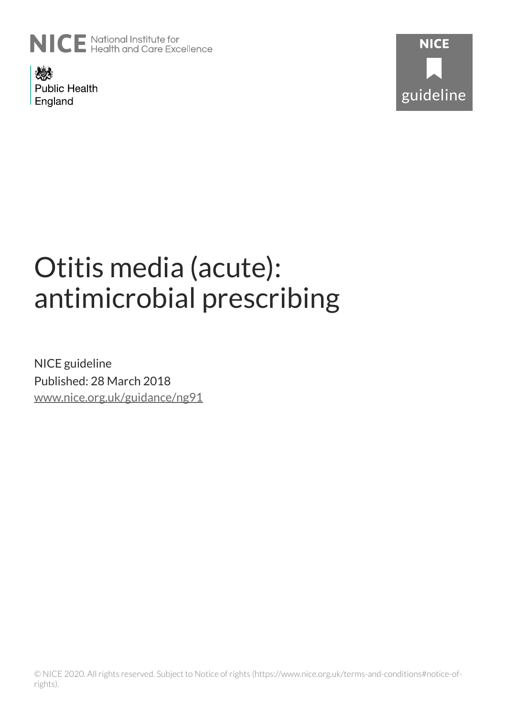

燃え **Public Health** England



# Otitis media (acute): antimicrobial prescribing

NICE guideline Published: 28 March 2018 [www.nice.org.uk/guidance/ng91](https://www.nice.org.uk/guidance/ng91)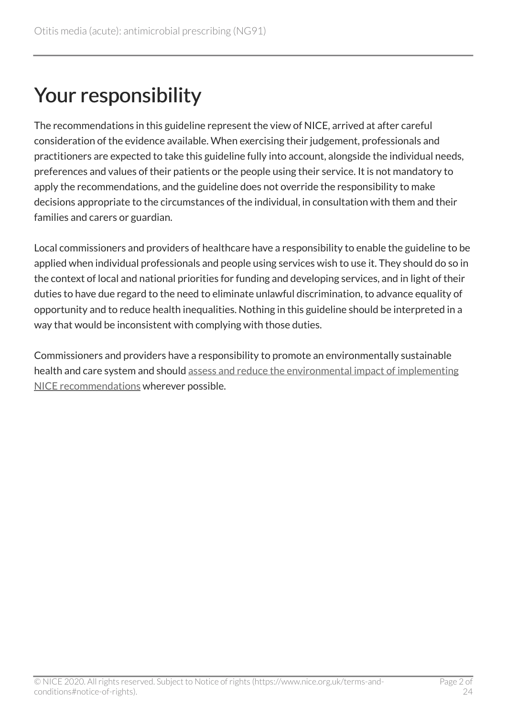### Your responsibility

The recommendations in this guideline represent the view of NICE, arrived at after careful consideration of the evidence available. When exercising their judgement, professionals and practitioners are expected to take this guideline fully into account, alongside the individual needs, preferences and values of their patients or the people using their service. It is not mandatory to apply the recommendations, and the guideline does not override the responsibility to make decisions appropriate to the circumstances of the individual, in consultation with them and their families and carers or guardian.

Local commissioners and providers of healthcare have a responsibility to enable the guideline to be applied when individual professionals and people using services wish to use it. They should do so in the context of local and national priorities for funding and developing services, and in light of their duties to have due regard to the need to eliminate unlawful discrimination, to advance equality of opportunity and to reduce health inequalities. Nothing in this guideline should be interpreted in a way that would be inconsistent with complying with those duties.

Commissioners and providers have a responsibility to promote an environmentally sustainable health and care system and should [assess and reduce the environmental impact of implementing](https://www.nice.org.uk/about/who-we-are/sustainability)  [NICE recommendations](https://www.nice.org.uk/about/who-we-are/sustainability) wherever possible.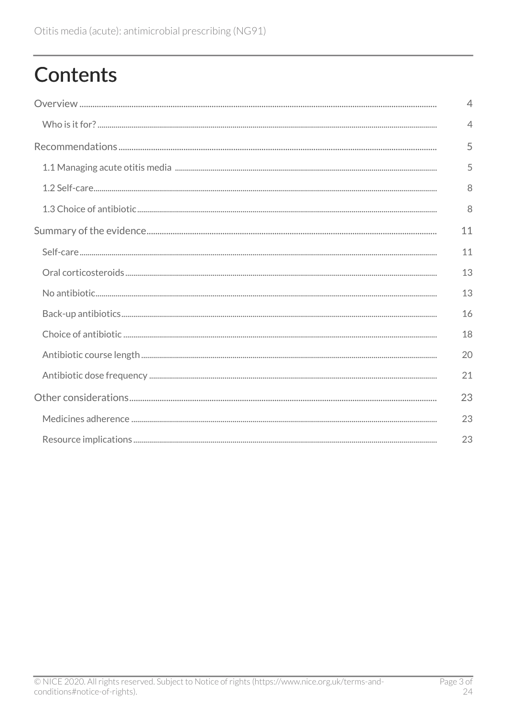## **Contents**

|  | $\overline{4}$ |  |
|--|----------------|--|
|  | $\overline{4}$ |  |
|  | 5              |  |
|  | 5              |  |
|  | 8              |  |
|  | 8              |  |
|  | 11             |  |
|  | 11             |  |
|  | 13             |  |
|  | 13             |  |
|  | 16             |  |
|  | 18             |  |
|  |                |  |
|  | 21             |  |
|  | 23             |  |
|  | 23             |  |
|  |                |  |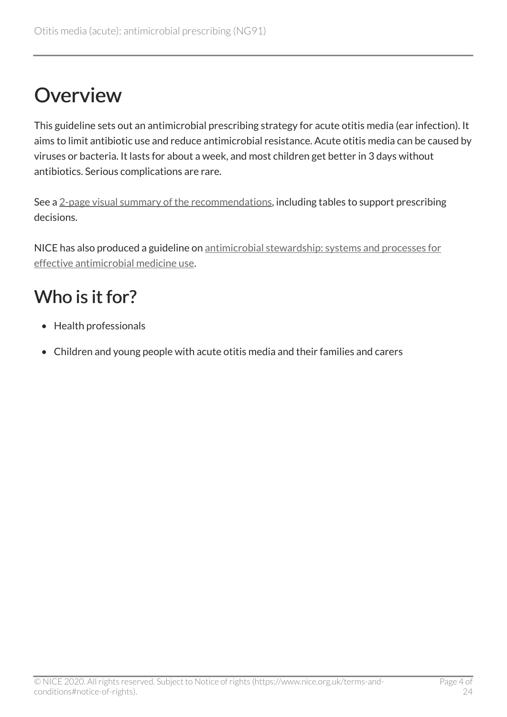### <span id="page-3-0"></span>**Overview**

This guideline sets out an antimicrobial prescribing strategy for acute otitis media (ear infection). It aims to limit antibiotic use and reduce antimicrobial resistance. Acute otitis media can be caused by viruses or bacteria. It lasts for about a week, and most children get better in 3 days without antibiotics. Serious complications are rare.

See a [2-page visual summary of the recommendations](https://www.nice.org.uk/guidance/ng91/resources/visual-summary-pdf-4787282702), including tables to support prescribing decisions.

NICE has also produced a guideline on [antimicrobial stewardship: systems and processes for](https://www.nice.org.uk/guidance/ng15) [effective antimicrobial medicine use](https://www.nice.org.uk/guidance/ng15).

### <span id="page-3-1"></span>Who is it for?

- Health professionals
- Children and young people with acute otitis media and their families and carers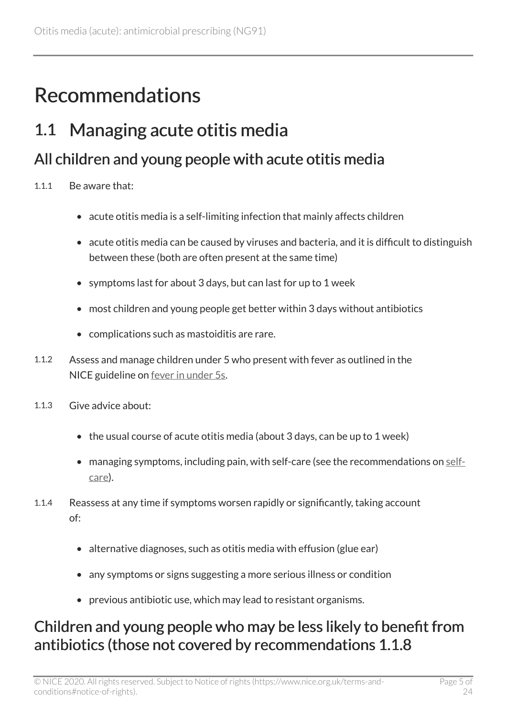### <span id="page-4-0"></span>Recommendations

#### <span id="page-4-1"></span>1.1 Managing acute otitis media

#### All children and young people with acute otitis media

- 1.1.1 Be aware that:
	- acute otitis media is a self-limiting infection that mainly affects children
	- acute otitis media can be caused by viruses and bacteria, and it is difficult to distinguish between these (both are often present at the same time)
	- symptoms last for about 3 days, but can last for up to 1 week
	- most children and young people get better within 3 days without antibiotics
	- complications such as mastoiditis are rare.
- 1.1.2 Assess and manage children under 5 who present with fever as outlined in the NICE guideline on [fever in under](https://www.nice.org.uk/guidance/cg160) 5s.
- 1.1.3 Give advice about:
	- the usual course of acute otitis media (about 3 days, can be up to 1 week)
	- managing symptoms, including pain, with self-care (see the recommendations on [self](#page-7-2)[care](#page-7-2)).
- 1.1.4 Reassess at any time if symptoms worsen rapidly or significantly, taking account of:
	- alternative diagnoses, such as otitis media with effusion (glue ear)
	- any symptoms or signs suggesting a more serious illness or condition
	- previous antibiotic use, which may lead to resistant organisms.

#### Children and young people who may be less likely to benefit from antibiotics (those not covered by recommendations 1.1.8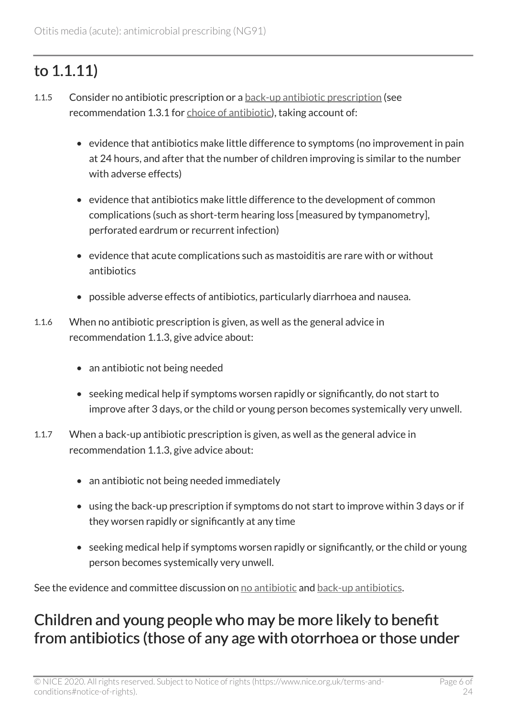#### to 1.1.11)

- 1.1.5 Consider no antibiotic prescription or a [back-up antibiotic prescription](https://www.nice.org.uk/Glossary?letter=B) (see recommendation 1.3.1 for [choice of antibiotic\)](#page-7-3), taking account of:
	- evidence that antibiotics make little difference to symptoms (no improvement in pain at 24 hours, and after that the number of children improving is similar to the number with adverse effects)
	- evidence that antibiotics make little difference to the development of common complications (such as short-term hearing loss [measured by tympanometry], perforated eardrum or recurrent infection)
	- evidence that acute complications such as mastoiditis are rare with or without antibiotics
	- possible adverse effects of antibiotics, particularly diarrhoea and nausea.
- 1.1.6 When no antibiotic prescription is given, as well as the general advice in recommendation 1.1.3, give advice about:
	- an antibiotic not being needed
	- seeking medical help if symptoms worsen rapidly or significantly, do not start to improve after 3 days, or the child or young person becomes systemically very unwell.
- 1.1.7 When a back-up antibiotic prescription is given, as well as the general advice in recommendation 1.1.3, give advice about:
	- an antibiotic not being needed immediately
	- using the back-up prescription if symptoms do not start to improve within 3 days or if they worsen rapidly or significantly at any time
	- seeking medical help if symptoms worsen rapidly or significantly, or the child or young person becomes systemically very unwell.

See the evidence and committee discussion on [no antibiotic](#page-12-1) and [back-up antibiotics](#page-15-0).

#### Children and young people who may be more likely to benefit from antibiotics (those of any age with otorrhoea or those under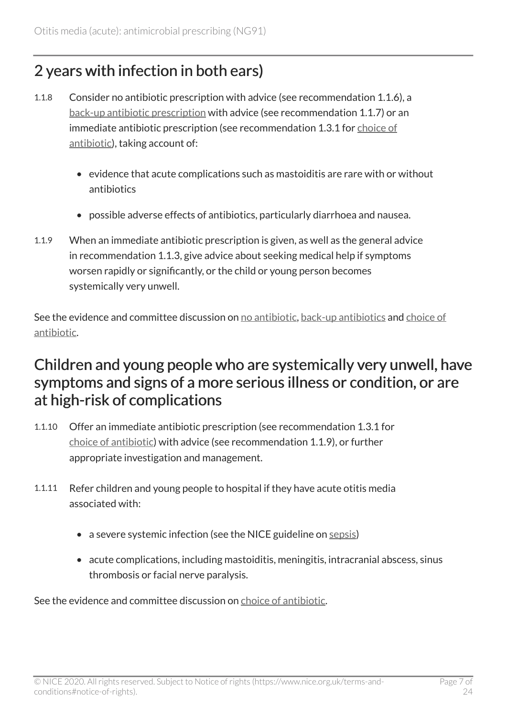#### 2 years with infection in both ears)

- 1.1.8 Consider no antibiotic prescription with advice (see recommendation 1.1.6), a [back-up antibiotic prescription](https://www.nice.org.uk/Glossary?letter=B) with advice (see recommendation 1.1.7) or an immediate antibiotic prescription (see recommendation 1.3.1 for [choice of](#page-7-3)  [antibiotic](#page-7-3)), taking account of:
	- evidence that acute complications such as mastoiditis are rare with or without antibiotics
	- possible adverse effects of antibiotics, particularly diarrhoea and nausea.
- 1.1.9 When an immediate antibiotic prescription is given, as well as the general advice in recommendation 1.1.3, give advice about seeking medical help if symptoms worsen rapidly or significantly, or the child or young person becomes systemically very unwell.

See the evidence and committee discussion on [no antibiotic,](#page-12-1) [back-up antibiotics](#page-15-0) and [choice of](#page-17-0) [antibiotic.](#page-17-0)

#### Children and young people who are systemically very unwell, have symptoms and signs of a more serious illness or condition, or are at high-risk of complications

- 1.1.10 Offer an immediate antibiotic prescription (see recommendation 1.3.1 for [choice of antibiotic](#page-7-3)) with advice (see recommendation 1.1.9), or further appropriate investigation and management.
- 1.1.11 Refer children and young people to hospital if they have acute otitis media associated with:
	- a severe systemic infection (see the NICE guideline on [sepsis](https://www.nice.org.uk/guidance/ng51))
	- acute complications, including mastoiditis, meningitis, intracranial abscess, sinus thrombosis or facial nerve paralysis.

See the evidence and committee discussion on [choice of antibiotic](#page-17-0).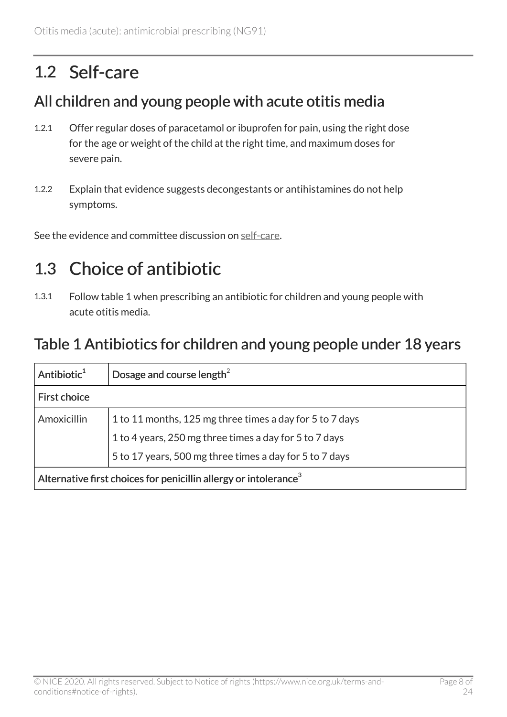### <span id="page-7-0"></span>1.2 Self-care

#### <span id="page-7-2"></span>All children and young people with acute otitis media

- 1.2.1 Offer regular doses of paracetamol or ibuprofen for pain, using the right dose for the age or weight of the child at the right time, and maximum doses for severe pain.
- 1.2.2 Explain that evidence suggests decongestants or antihistamines do not help symptoms.

See the evidence and committee discussion on [self-care.](#page-10-1)

### <span id="page-7-1"></span>1.3 Choice of antibiotic

1.3.1 Follow table 1 when prescribing an antibiotic for children and young people with acute otitis media.

#### <span id="page-7-3"></span>Table 1 Antibiotics for children and young people under 18 years

| Antibiotic <sup>1</sup>                                                      | Dosage and course length <sup>2</sup>                    |  |
|------------------------------------------------------------------------------|----------------------------------------------------------|--|
| <b>First choice</b>                                                          |                                                          |  |
| Amoxicillin                                                                  | 1 to 11 months, 125 mg three times a day for 5 to 7 days |  |
|                                                                              | 1 to 4 years, 250 mg three times a day for 5 to 7 days   |  |
|                                                                              | 5 to 17 years, 500 mg three times a day for 5 to 7 days  |  |
| Alternative first choices for penicillin allergy or intolerance <sup>3</sup> |                                                          |  |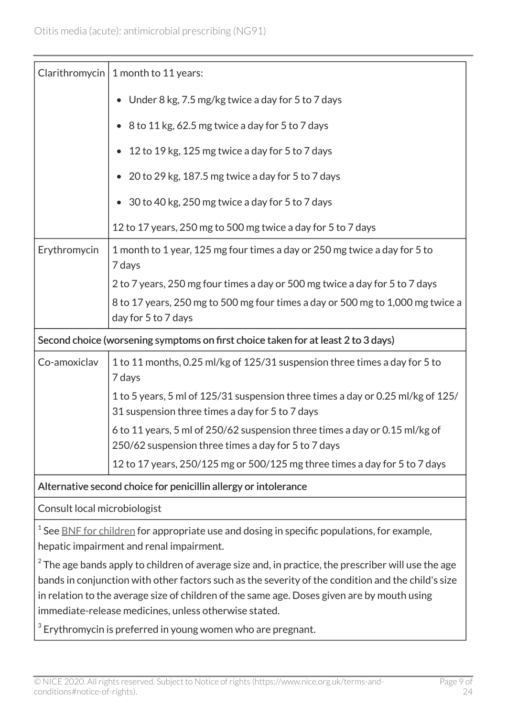|                                                                                                                                                                                                                                                                                                                                                                     | Clarithromycin   1 month to 11 years:                                                                                              |  |
|---------------------------------------------------------------------------------------------------------------------------------------------------------------------------------------------------------------------------------------------------------------------------------------------------------------------------------------------------------------------|------------------------------------------------------------------------------------------------------------------------------------|--|
|                                                                                                                                                                                                                                                                                                                                                                     | Under 8 kg, 7.5 mg/kg twice a day for 5 to 7 days                                                                                  |  |
|                                                                                                                                                                                                                                                                                                                                                                     | 8 to 11 kg, 62.5 mg twice a day for 5 to 7 days                                                                                    |  |
|                                                                                                                                                                                                                                                                                                                                                                     | 12 to 19 kg, 125 mg twice a day for 5 to 7 days                                                                                    |  |
|                                                                                                                                                                                                                                                                                                                                                                     | 20 to 29 kg, 187.5 mg twice a day for 5 to 7 days                                                                                  |  |
|                                                                                                                                                                                                                                                                                                                                                                     | 30 to 40 kg, 250 mg twice a day for 5 to 7 days                                                                                    |  |
|                                                                                                                                                                                                                                                                                                                                                                     | 12 to 17 years, 250 mg to 500 mg twice a day for 5 to 7 days                                                                       |  |
| Erythromycin                                                                                                                                                                                                                                                                                                                                                        | 1 month to 1 year, 125 mg four times a day or 250 mg twice a day for 5 to<br>7 days                                                |  |
|                                                                                                                                                                                                                                                                                                                                                                     | 2 to 7 years, 250 mg four times a day or 500 mg twice a day for 5 to 7 days                                                        |  |
|                                                                                                                                                                                                                                                                                                                                                                     | 8 to 17 years, 250 mg to 500 mg four times a day or 500 mg to 1,000 mg twice a<br>day for 5 to 7 days                              |  |
| Second choice (worsening symptoms on first choice taken for at least 2 to 3 days)                                                                                                                                                                                                                                                                                   |                                                                                                                                    |  |
| Co-amoxiclav                                                                                                                                                                                                                                                                                                                                                        | 1 to 11 months, 0.25 ml/kg of 125/31 suspension three times a day for 5 to<br>7 days                                               |  |
|                                                                                                                                                                                                                                                                                                                                                                     | 1 to 5 years, 5 ml of 125/31 suspension three times a day or 0.25 ml/kg of 125/<br>31 suspension three times a day for 5 to 7 days |  |
|                                                                                                                                                                                                                                                                                                                                                                     | 6 to 11 years, 5 ml of 250/62 suspension three times a day or 0.15 ml/kg of<br>250/62 suspension three times a day for 5 to 7 days |  |
|                                                                                                                                                                                                                                                                                                                                                                     | 12 to 17 years, 250/125 mg or 500/125 mg three times a day for 5 to 7 days                                                         |  |
| Alternative second choice for penicillin allergy or intolerance                                                                                                                                                                                                                                                                                                     |                                                                                                                                    |  |
| Consult local microbiologist                                                                                                                                                                                                                                                                                                                                        |                                                                                                                                    |  |
| $1$ See BNF for children for appropriate use and dosing in specific populations, for example,<br>hepatic impairment and renal impairment.                                                                                                                                                                                                                           |                                                                                                                                    |  |
| $2$ The age bands apply to children of average size and, in practice, the prescriber will use the age<br>bands in conjunction with other factors such as the severity of the condition and the child's size<br>in relation to the average size of children of the same age. Doses given are by mouth using<br>immediate-release medicines, unless otherwise stated. |                                                                                                                                    |  |
| $3$ Erythromycin is preferred in young women who are pregnant.                                                                                                                                                                                                                                                                                                      |                                                                                                                                    |  |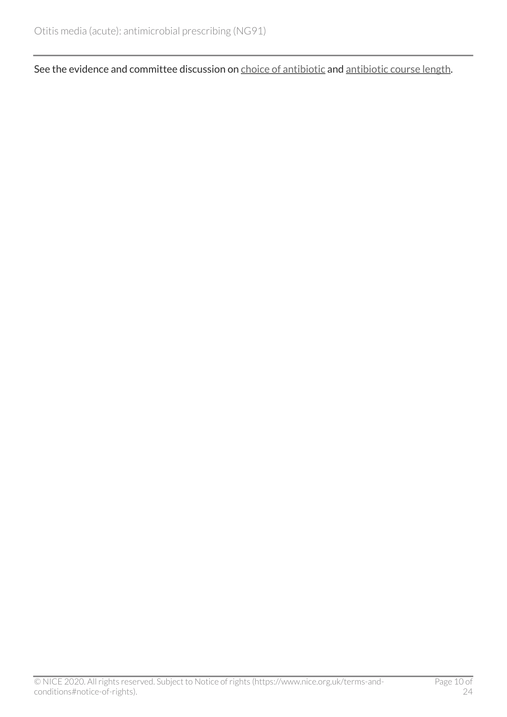See the evidence and committee discussion on [choice of antibiotic](#page-17-0) and [antibiotic course length](#page-19-0).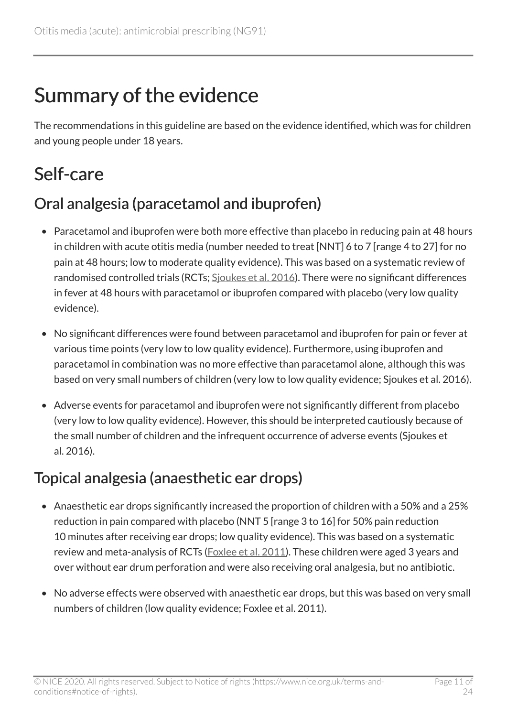### <span id="page-10-0"></span>Summary of the evidence

The recommendations in this guideline are based on the evidence identified, which was for children and young people under 18 years.

### <span id="page-10-1"></span>Self-care

#### Oral analgesia (paracetamol and ibuprofen)

- Paracetamol and ibuprofen were both more effective than placebo in reducing pain at 48 hours in children with acute otitis media (number needed to treat [NNT] 6 to 7 [range 4 to 27] for no pain at 48 hours; low to moderate quality evidence). This was based on a systematic review of randomised controlled trials (RCTs; Sioukes et al. 2016). There were no significant differences in fever at 48 hours with paracetamol or ibuprofen compared with placebo (very low quality evidence).
- No significant differences were found between paracetamol and ibuprofen for pain or fever at various time points (very low to low quality evidence). Furthermore, using ibuprofen and paracetamol in combination was no more effective than paracetamol alone, although this was based on very small numbers of children (very low to low quality evidence; Sjoukes et al. 2016).
- Adverse events for paracetamol and ibuprofen were not significantly different from placebo (very low to low quality evidence). However, this should be interpreted cautiously because of the small number of children and the infrequent occurrence of adverse events (Sjoukes et al. 2016).

#### Topical analgesia (anaesthetic ear drops)

- Anaesthetic ear drops significantly increased the proportion of children with a 50% and a 25% reduction in pain compared with placebo (NNT 5 [range 3 to 16] for 50% pain reduction 10 minutes after receiving ear drops; low quality evidence). This was based on a systematic review and meta-analysis of RCTs ([Foxlee et al.](http://onlinelibrary.wiley.com/doi/10.1002/14651858.CD005657.pub2/abstract) 2011). These children were aged 3 years and over without ear drum perforation and were also receiving oral analgesia, but no antibiotic.
- No adverse effects were observed with anaesthetic ear drops, but this was based on very small numbers of children (low quality evidence; Foxlee et al. 2011).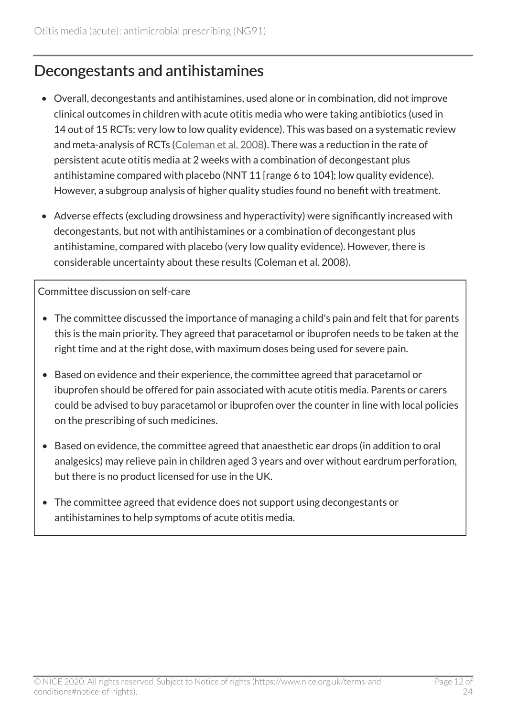#### Decongestants and antihistamines

- Overall, decongestants and antihistamines, used alone or in combination, did not improve clinical outcomes in children with acute otitis media who were taking antibiotics (used in 14 out of 15 RCTs; very low to low quality evidence). This was based on a systematic review and meta-analysis of RCTs ([Coleman et al.](http://onlinelibrary.wiley.com/doi/10.1002/14651858.CD001727.pub5/full) 2008). There was a reduction in the rate of persistent acute otitis media at 2 weeks with a combination of decongestant plus antihistamine compared with placebo (NNT 11 [range 6 to 104]; low quality evidence). However, a subgroup analysis of higher quality studies found no benefit with treatment.
- Adverse effects (excluding drowsiness and hyperactivity) were significantly increased with decongestants, but not with antihistamines or a combination of decongestant plus antihistamine, compared with placebo (very low quality evidence). However, there is considerable uncertainty about these results (Coleman et al. 2008).

Committee discussion on self-care

- The committee discussed the importance of managing a child's pain and felt that for parents this is the main priority. They agreed that paracetamol or ibuprofen needs to be taken at the right time and at the right dose, with maximum doses being used for severe pain.
- Based on evidence and their experience, the committee agreed that paracetamol or ibuprofen should be offered for pain associated with acute otitis media. Parents or carers could be advised to buy paracetamol or ibuprofen over the counter in line with local policies on the prescribing of such medicines.
- Based on evidence, the committee agreed that anaesthetic ear drops (in addition to oral analgesics) may relieve pain in children aged 3 years and over without eardrum perforation, but there is no product licensed for use in the UK.
- The committee agreed that evidence does not support using decongestants or antihistamines to help symptoms of acute otitis media.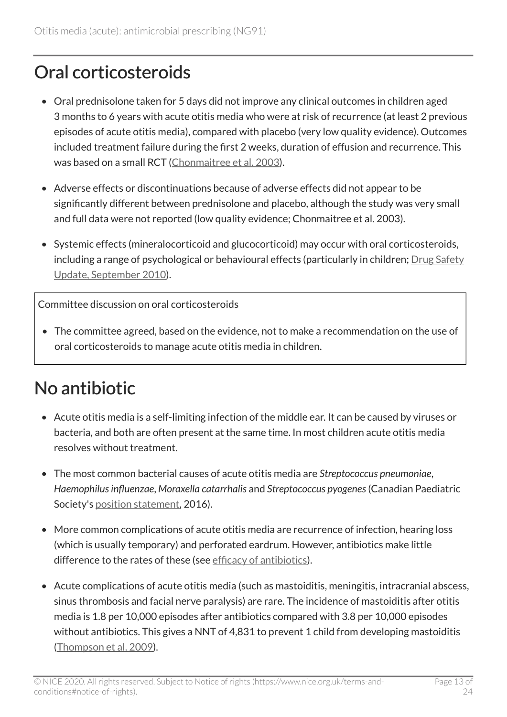### <span id="page-12-0"></span>Oral corticosteroids

- Oral prednisolone taken for 5 days did not improve any clinical outcomes in children aged 3 months to 6 years with acute otitis media who were at risk of recurrence (at least 2 previous episodes of acute otitis media), compared with placebo (very low quality evidence). Outcomes included treatment failure during the first 2 weeks, duration of effusion and recurrence. This was based on a small RCT ([Chonmaitree et al.](http://www.sciencedirect.com/science/article/pii/S0022347603002932) 2003).
- Adverse effects or discontinuations because of adverse effects did not appear to be significantly different between prednisolone and placebo, although the study was very small and full data were not reported (low quality evidence; Chonmaitree et al. 2003).
- Systemic effects (mineralocorticoid and glucocorticoid) may occur with oral corticosteroids, including a range of psychological or behavioural effects (particularly in children; [Drug Safety](https://www.gov.uk/drug-safety-update/inhaled-and-intranasal-corticosteroids) [Update, September](https://www.gov.uk/drug-safety-update/inhaled-and-intranasal-corticosteroids) 2010).

Committee discussion on oral corticosteroids

• The committee agreed, based on the evidence, not to make a recommendation on the use of oral corticosteroids to manage acute otitis media in children.

### <span id="page-12-1"></span>No antibiotic

- Acute otitis media is a self-limiting infection of the middle ear. It can be caused by viruses or bacteria, and both are often present at the same time. In most children acute otitis media resolves without treatment.
- The most common bacterial causes of acute otitis media are *Streptococcus pneumoniae*, *Haemophilus influenzae*, *Moraxella catarrhalis* and *Streptococcus pyogenes*(Canadian Paediatric Society's [position statement,](http://www.cps.ca/en/documents/position/acute-otitis-media) 2016).
- More common complications of acute otitis media are recurrence of infection, hearing loss (which is usually temporary) and perforated eardrum. However, antibiotics make little difference to the rates of these (see [efficacy of antibiotics\)](#page-13-0).
- Acute complications of acute otitis media (such as mastoiditis, meningitis, intracranial abscess, sinus thrombosis and facial nerve paralysis) are rare. The incidence of mastoiditis after otitis media is 1.8 per 10,000 episodes after antibiotics compared with 3.8 per 10,000 episodes without antibiotics. This gives a NNT of 4,831 to prevent 1 child from developing mastoiditis ([Thompson et al.](http://pediatrics.aappublications.org/content/123/2/424) 2009).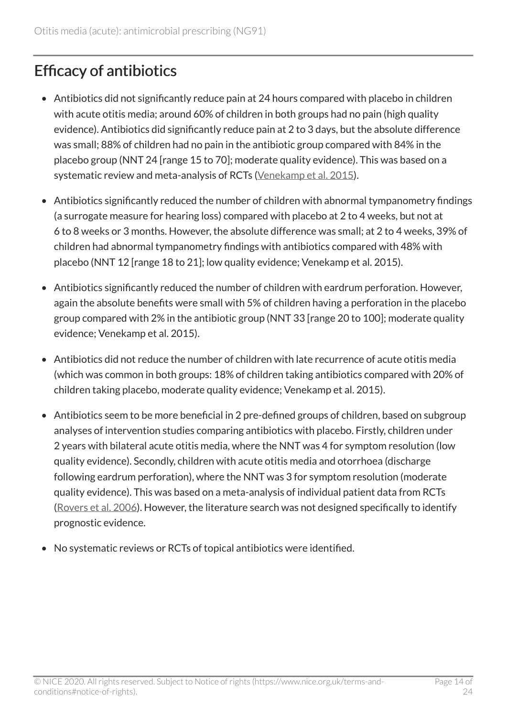#### <span id="page-13-0"></span>Efficacy of antibiotics

- Antibiotics did not significantly reduce pain at 24 hours compared with placebo in children with acute otitis media; around 60% of children in both groups had no pain (high quality evidence). Antibiotics did significantly reduce pain at 2 to 3 days, but the absolute difference was small; 88% of children had no pain in the antibiotic group compared with 84% in the placebo group (NNT 24 [range 15 to 70]; moderate quality evidence). This was based on a systematic review and meta-analysis of RCTs [\(Venekamp et al.](http://www.cochrane.org/CD000219/ARI_antibiotics-for-acute-middle-ear-infection-acute-otitis-media-in-children) 2015).
- Antibiotics significantly reduced the number of children with abnormal tympanometry findings (a surrogate measure for hearing loss) compared with placebo at 2 to 4 weeks, but not at 6 to 8 weeks or 3 months. However, the absolute difference was small; at 2 to 4 weeks, 39% of children had abnormal tympanometry findings with antibiotics compared with 48% with placebo (NNT 12 [range 18 to 21]; low quality evidence; Venekamp et al. 2015).
- Antibiotics significantly reduced the number of children with eardrum perforation. However, again the absolute benefits were small with 5% of children having a perforation in the placebo group compared with 2% in the antibiotic group (NNT 33 [range 20 to 100]; moderate quality evidence; Venekamp et al. 2015).
- Antibiotics did not reduce the number of children with late recurrence of acute otitis media (which was common in both groups: 18% of children taking antibiotics compared with 20% of children taking placebo, moderate quality evidence; Venekamp et al. 2015).
- Antibiotics seem to be more beneficial in 2 pre-defined groups of children, based on subgroup analyses of intervention studies comparing antibiotics with placebo. Firstly, children under 2 years with bilateral acute otitis media, where the NNT was 4 for symptom resolution (low quality evidence). Secondly, children with acute otitis media and otorrhoea (discharge following eardrum perforation), where the NNT was 3 for symptom resolution (moderate quality evidence). This was based on a meta-analysis of individual patient data from RCTs ([Rovers et al.](http://www.sciencedirect.com/science/article/pii/S0140673606696062) 2006). However, the literature search was not designed specifically to identify prognostic evidence.
- No systematic reviews or RCTs of topical antibiotics were identified.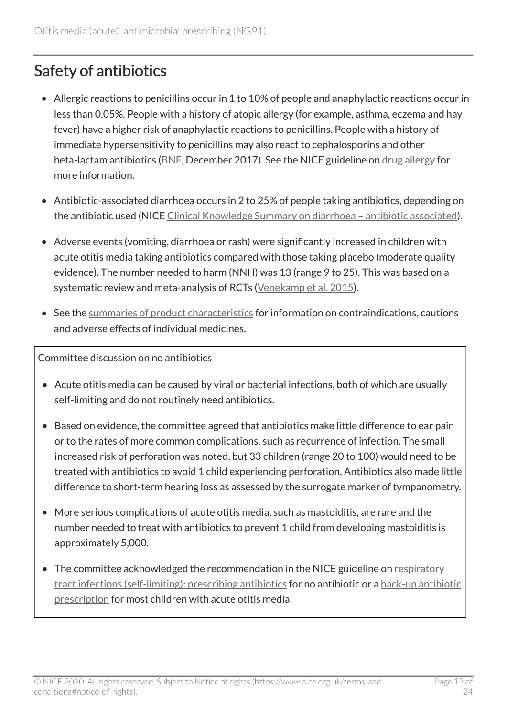#### Safety of antibiotics

- Allergic reactions to penicillins occur in 1 to 10% of people and anaphylactic reactions occur in less than 0.05%. People with a history of atopic allergy (for example, asthma, eczema and hay fever) have a higher risk of anaphylactic reactions to penicillins. People with a history of immediate hypersensitivity to penicillins may also react to cephalosporins and other beta-lactam antibiotics ([BNF](https://bnf.nice.org.uk/drug/phenoxymethylpenicillin.html), December 2017). See the NICE guideline on [drug allergy](https://www.nice.org.uk/guidance/cg183) for more information.
- Antibiotic-associated diarrhoea occurs in 2 to 25% of people taking antibiotics, depending on the antibiotic used (NICE Clinical Knowledge Summary on diarrhoea - antibiotic associated).
- Adverse events (vomiting, diarrhoea or rash) were significantly increased in children with acute otitis media taking antibiotics compared with those taking placebo (moderate quality evidence). The number needed to harm (NNH) was 13 (range 9 to 25). This was based on a systematic review and meta-analysis of RCTs [\(Venekamp et al.](http://www.cochrane.org/CD000219/ARI_antibiotics-for-acute-middle-ear-infection-acute-otitis-media-in-children) 2015).
- See the [summaries of product characteristics](https://www.medicines.org.uk/emc/) for information on contraindications, cautions and adverse effects of individual medicines.

Committee discussion on no antibiotics

- Acute otitis media can be caused by viral or bacterial infections, both of which are usually self-limiting and do not routinely need antibiotics.
- Based on evidence, the committee agreed that antibiotics make little difference to ear pain or to the rates of more common complications, such as recurrence of infection. The small increased risk of perforation was noted, but 33 children (range 20 to 100) would need to be treated with antibiotics to avoid 1 child experiencing perforation. Antibiotics also made little difference to short-term hearing loss as assessed by the surrogate marker of tympanometry.
- More serious complications of acute otitis media, such as mastoiditis, are rare and the number needed to treat with antibiotics to prevent 1 child from developing mastoiditis is approximately 5,000.
- The committee acknowledged the recommendation in the NICE guideline on [respiratory](https://www.nice.org.uk/guidance/cg69) [tract infections \(self-limiting\): prescribing antibiotics](https://www.nice.org.uk/guidance/cg69) for no antibiotic or a [back-up antibiotic](https://www.nice.org.uk/Glossary?letter=B)  [prescription](https://www.nice.org.uk/Glossary?letter=B) for most children with acute otitis media.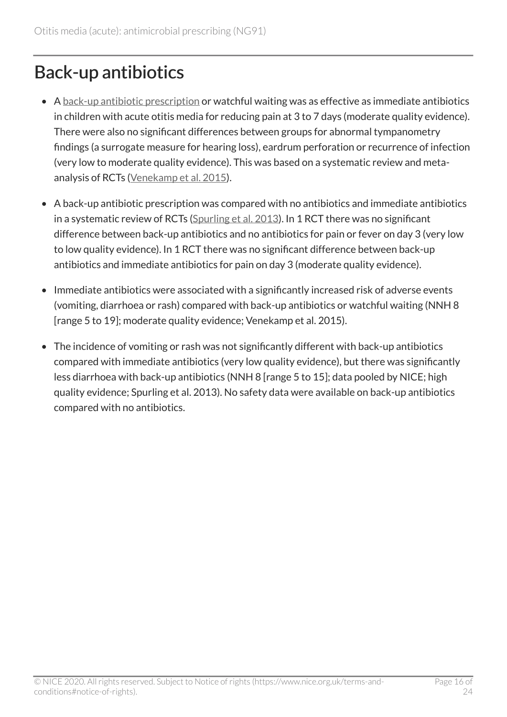### <span id="page-15-0"></span>Back-up antibiotics

- A [back-up antibiotic prescription](https://www.nice.org.uk/Glossary?letter=B) or watchful waiting was as effective as immediate antibiotics in children with acute otitis media for reducing pain at 3 to 7 days (moderate quality evidence). There were also no significant differences between groups for abnormal tympanometry findings (a surrogate measure for hearing loss), eardrum perforation or recurrence of infection (very low to moderate quality evidence). This was based on a systematic review and metaanalysis of RCTs [\(Venekamp et al.](http://www.cochrane.org/CD000219/ARI_antibiotics-for-acute-middle-ear-infection-acute-otitis-media-in-children) 2015).
- A back-up antibiotic prescription was compared with no antibiotics and immediate antibiotics in a systematic review of RCTs [\(Spurling et al.](http://onlinelibrary.wiley.com/doi/10.1002/14651858.CD004417.pub4/abstract) 2013). In 1 RCT there was no significant difference between back-up antibiotics and no antibiotics for pain or fever on day 3 (very low to low quality evidence). In 1 RCT there was no significant difference between back-up antibiotics and immediate antibiotics for pain on day 3 (moderate quality evidence).
- Immediate antibiotics were associated with a significantly increased risk of adverse events (vomiting, diarrhoea or rash) compared with back-up antibiotics or watchful waiting (NNH 8 [range 5 to 19]; moderate quality evidence; Venekamp et al. 2015).
- The incidence of vomiting or rash was not significantly different with back-up antibiotics compared with immediate antibiotics (very low quality evidence), but there was significantly less diarrhoea with back-up antibiotics (NNH 8 [range 5 to 15]; data pooled by NICE; high quality evidence; Spurling et al. 2013). No safety data were available on back-up antibiotics compared with no antibiotics.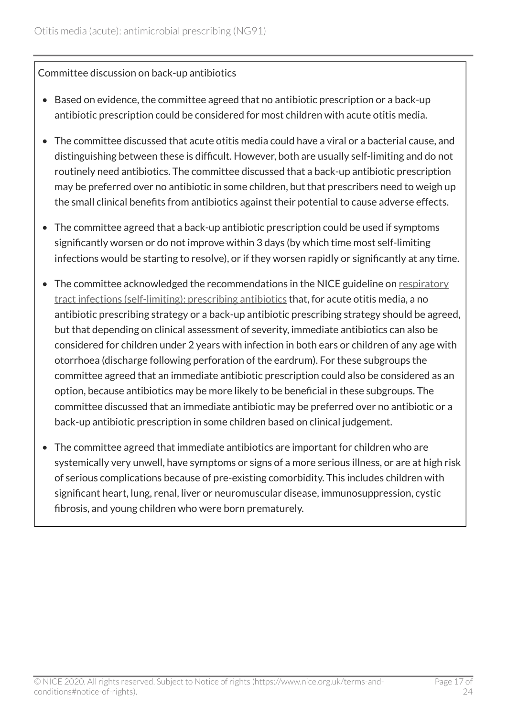#### Committee discussion on back-up antibiotics

- Based on evidence, the committee agreed that no antibiotic prescription or a back-up antibiotic prescription could be considered for most children with acute otitis media.
- The committee discussed that acute otitis media could have a viral or a bacterial cause, and distinguishing between these is difficult. However, both are usually self-limiting and do not routinely need antibiotics. The committee discussed that a back-up antibiotic prescription may be preferred over no antibiotic in some children, but that prescribers need to weigh up the small clinical benefits from antibiotics against their potential to cause adverse effects.
- The committee agreed that a back-up antibiotic prescription could be used if symptoms significantly worsen or do not improve within 3 days (by which time most self-limiting infections would be starting to resolve), or if they worsen rapidly or significantly at any time.
- The committee acknowledged the recommendations in the NICE guideline on [respiratory](https://www.nice.org.uk/guidance/cg69) [tract infections \(self-limiting\): prescribing antibiotics](https://www.nice.org.uk/guidance/cg69) that, for acute otitis media, a no antibiotic prescribing strategy or a back-up antibiotic prescribing strategy should be agreed, but that depending on clinical assessment of severity, immediate antibiotics can also be considered for children under 2 years with infection in both ears or children of any age with otorrhoea (discharge following perforation of the eardrum). For these subgroups the committee agreed that an immediate antibiotic prescription could also be considered as an option, because antibiotics may be more likely to be beneficial in these subgroups. The committee discussed that an immediate antibiotic may be preferred over no antibiotic or a back-up antibiotic prescription in some children based on clinical judgement.
- The committee agreed that immediate antibiotics are important for children who are systemically very unwell, have symptoms or signs of a more serious illness, or are at high risk of serious complications because of pre-existing comorbidity. This includes children with significant heart, lung, renal, liver or neuromuscular disease, immunosuppression, cystic fibrosis, and young children who were born prematurely.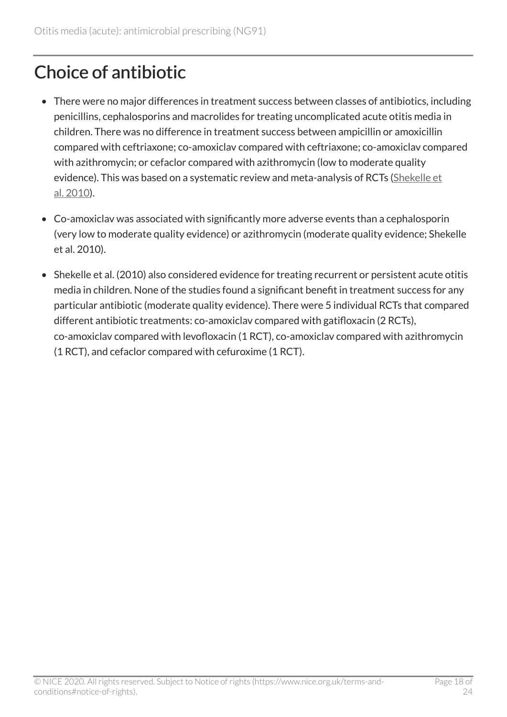### <span id="page-17-0"></span>Choice of antibiotic

- There were no major differences in treatment success between classes of antibiotics, including penicillins, cephalosporins and macrolides for treating uncomplicated acute otitis media in children. There was no difference in treatment success between ampicillin or amoxicillin compared with ceftriaxone; co-amoxiclav compared with ceftriaxone; co-amoxiclav compared with azithromycin; or cefaclor compared with azithromycin (low to moderate quality evidence). This was based on a systematic review and meta-analysis of RCTs [\(Shekelle et](https://www.ahrq.gov/downloads/pub/evidence/pdf/otitis/otitisup.pdf) al. [2010](https://www.ahrq.gov/downloads/pub/evidence/pdf/otitis/otitisup.pdf)).
- Co-amoxiclav was associated with significantly more adverse events than a cephalosporin (very low to moderate quality evidence) or azithromycin (moderate quality evidence; Shekelle et al. 2010).
- Shekelle et al. (2010) also considered evidence for treating recurrent or persistent acute otitis media in children. None of the studies found a significant benefit in treatment success for any particular antibiotic (moderate quality evidence). There were 5 individual RCTs that compared different antibiotic treatments: co-amoxiclav compared with gatifloxacin (2 RCTs), co-amoxiclav compared with levofloxacin (1 RCT), co-amoxiclav compared with azithromycin (1 RCT), and cefaclor compared with cefuroxime (1 RCT).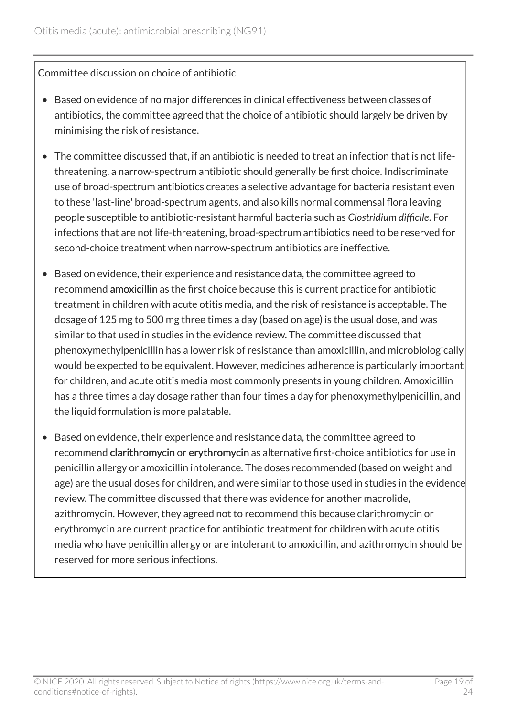Committee discussion on choice of antibiotic

- Based on evidence of no major differences in clinical effectiveness between classes of antibiotics, the committee agreed that the choice of antibiotic should largely be driven by minimising the risk of resistance.
- The committee discussed that, if an antibiotic is needed to treat an infection that is not lifethreatening, a narrow-spectrum antibiotic should generally be first choice. Indiscriminate use of broad-spectrum antibiotics creates a selective advantage for bacteria resistant even to these 'last-line' broad-spectrum agents, and also kills normal commensal flora leaving people susceptible to antibiotic-resistant harmful bacteria such as *Clostridium difficile*. For infections that are not life-threatening, broad-spectrum antibiotics need to be reserved for second-choice treatment when narrow-spectrum antibiotics are ineffective.
- Based on evidence, their experience and resistance data, the committee agreed to recommend amoxicillin as the first choice because this is current practice for antibiotic treatment in children with acute otitis media, and the risk of resistance is acceptable. The dosage of 125 mg to 500 mg three times a day (based on age) is the usual dose, and was similar to that used in studies in the evidence review. The committee discussed that phenoxymethylpenicillin has a lower risk of resistance than amoxicillin, and microbiologically would be expected to be equivalent. However, medicines adherence is particularly important for children, and acute otitis media most commonly presents in young children. Amoxicillin has a three times a day dosage rather than four times a day for phenoxymethylpenicillin, and the liquid formulation is more palatable.
- Based on evidence, their experience and resistance data, the committee agreed to recommend clarithromycin or erythromycin as alternative first-choice antibiotics for use in penicillin allergy or amoxicillin intolerance. The doses recommended (based on weight and age) are the usual doses for children, and were similar to those used in studies in the evidence review. The committee discussed that there was evidence for another macrolide, azithromycin. However, they agreed not to recommend this because clarithromycin or erythromycin are current practice for antibiotic treatment for children with acute otitis media who have penicillin allergy or are intolerant to amoxicillin, and azithromycin should be reserved for more serious infections.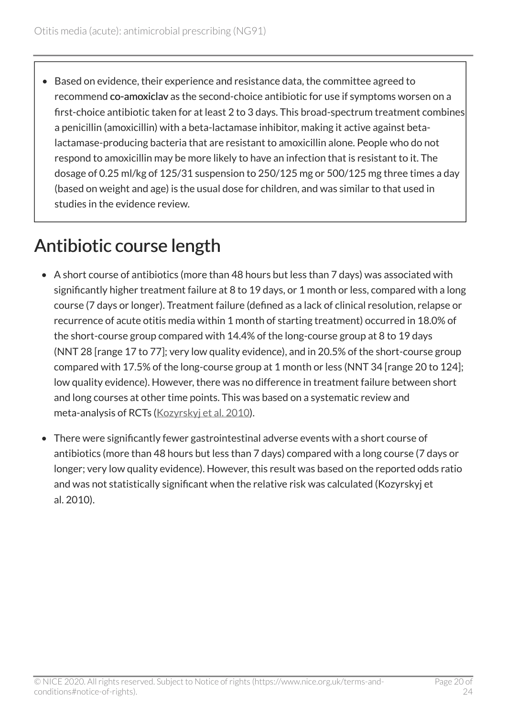• Based on evidence, their experience and resistance data, the committee agreed to recommend co-amoxiclav as the second-choice antibiotic for use if symptoms worsen on a first-choice antibiotic taken for at least 2 to 3 days. This broad-spectrum treatment combines a penicillin (amoxicillin) with a beta-lactamase inhibitor, making it active against betalactamase-producing bacteria that are resistant to amoxicillin alone. People who do not respond to amoxicillin may be more likely to have an infection that is resistant to it. The dosage of 0.25 ml/kg of 125/31 suspension to 250/125 mg or 500/125 mg three times a day (based on weight and age) is the usual dose for children, and was similar to that used in studies in the evidence review.

### <span id="page-19-0"></span>Antibiotic course length

- A short course of antibiotics (more than 48 hours but less than 7 days) was associated with significantly higher treatment failure at 8 to 19 days, or 1 month or less, compared with a long course (7 days or longer). Treatment failure (defined as a lack of clinical resolution, relapse or recurrence of acute otitis media within 1 month of starting treatment) occurred in 18.0% of the short-course group compared with 14.4% of the long-course group at 8 to 19 days (NNT 28 [range 17 to 77]; very low quality evidence), and in 20.5% of the short-course group compared with 17.5% of the long-course group at 1 month or less (NNT 34 [range 20 to 124]; low quality evidence). However, there was no difference in treatment failure between short and long courses at other time points. This was based on a systematic review and meta-analysis of RCTs ([Kozyrskyj et al.](http://www.cochrane.org/CD001095/ARI_short-course-antibiotics-for-healthy-children-with-uncomplicated-acute-otitis-media) 2010).
- There were significantly fewer gastrointestinal adverse events with a short course of antibiotics (more than 48 hours but less than 7 days) compared with a long course (7 days or longer; very low quality evidence). However, this result was based on the reported odds ratio and was not statistically significant when the relative risk was calculated (Kozyrskyj et al. 2010).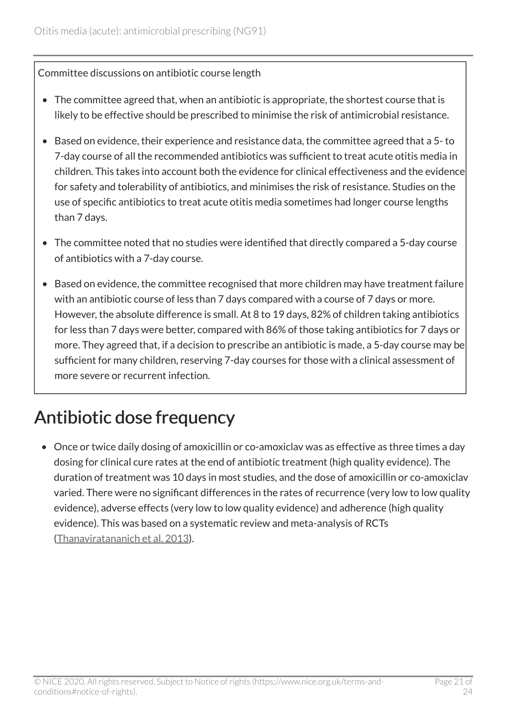Committee discussions on antibiotic course length

- The committee agreed that, when an antibiotic is appropriate, the shortest course that is likely to be effective should be prescribed to minimise the risk of antimicrobial resistance.
- Based on evidence, their experience and resistance data, the committee agreed that a 5- to 7-day course of all the recommended antibiotics was sufficient to treat acute otitis media in children. This takes into account both the evidence for clinical effectiveness and the evidence for safety and tolerability of antibiotics, and minimises the risk of resistance. Studies on the use of specific antibiotics to treat acute otitis media sometimes had longer course lengths than 7 days.
- The committee noted that no studies were identified that directly compared a 5-day course of antibiotics with a 7-day course.
- Based on evidence, the committee recognised that more children may have treatment failure with an antibiotic course of less than 7 days compared with a course of 7 days or more. However, the absolute difference is small. At 8 to 19 days, 82% of children taking antibiotics for less than 7 days were better, compared with 86% of those taking antibiotics for 7 days or more. They agreed that, if a decision to prescribe an antibiotic is made, a 5-day course may be sufficient for many children, reserving 7-day courses for those with a clinical assessment of more severe or recurrent infection.

### <span id="page-20-0"></span>Antibiotic dose frequency

• Once or twice daily dosing of amoxicillin or co-amoxiclav was as effective as three times a day dosing for clinical cure rates at the end of antibiotic treatment (high quality evidence). The duration of treatment was 10 days in most studies, and the dose of amoxicillin or co-amoxiclav varied. There were no significant differences in the rates of recurrence (very low to low quality evidence), adverse effects (very low to low quality evidence) and adherence (high quality evidence). This was based on a systematic review and meta-analysis of RCTs ([Thanaviratananich et al.](http://www.cochrane.org/CD004975/ARI_dosage-intervals-of-amoxicillin-for-the-treatment-of-acute-middle-ear-infection) 2013).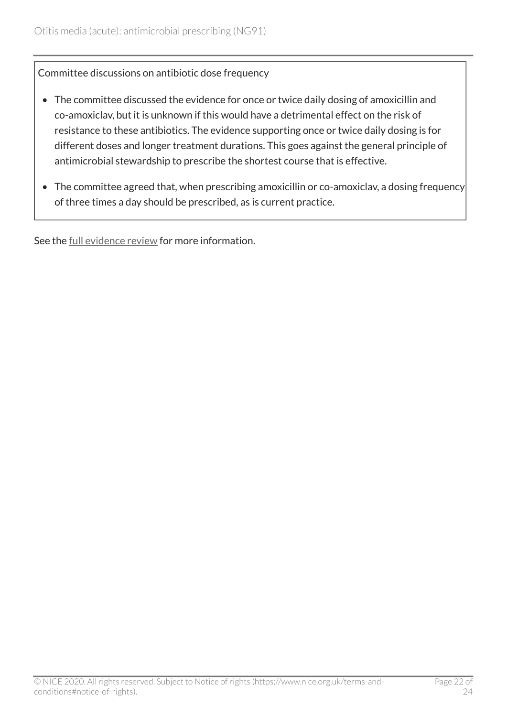Committee discussions on antibiotic dose frequency

- The committee discussed the evidence for once or twice daily dosing of amoxicillin and co-amoxiclav, but it is unknown if this would have a detrimental effect on the risk of resistance to these antibiotics. The evidence supporting once or twice daily dosing is for different doses and longer treatment durations. This goes against the general principle of antimicrobial stewardship to prescribe the shortest course that is effective.
- The committee agreed that, when prescribing amoxicillin or co-amoxiclav, a dosing frequency of three times a day should be prescribed, as is current practice.

See the [full evidence review](https://www.nice.org.uk/guidance/ng91/evidence/evidence-review-pdf-4787286589) for more information.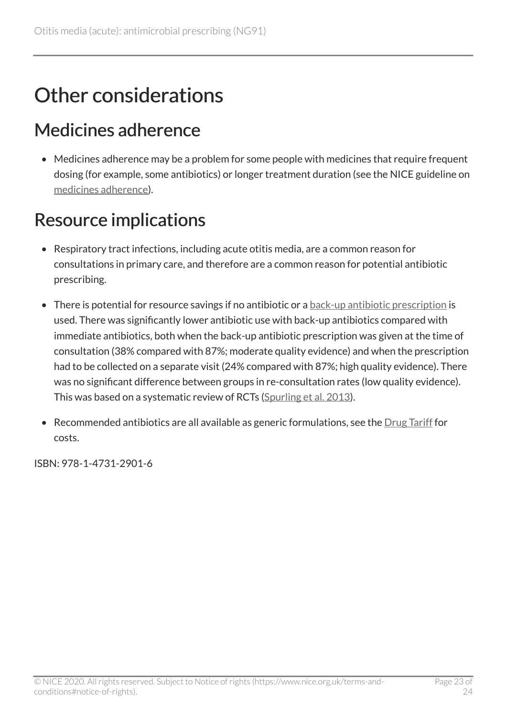### <span id="page-22-0"></span>Other considerations

### <span id="page-22-1"></span>Medicines adherence

• Medicines adherence may be a problem for some people with medicines that require frequent dosing (for example, some antibiotics) or longer treatment duration (see the NICE guideline on [medicines adherence\)](https://www.nice.org.uk/guidance/cg76).

### <span id="page-22-2"></span>Resource implications

- Respiratory tract infections, including acute otitis media, are a common reason for consultations in primary care, and therefore are a common reason for potential antibiotic prescribing.
- There is potential for resource savings if no antibiotic or a [back-up antibiotic prescription](https://www.nice.org.uk/Glossary?letter=B) is used. There was significantly lower antibiotic use with back-up antibiotics compared with immediate antibiotics, both when the back-up antibiotic prescription was given at the time of consultation (38% compared with 87%; moderate quality evidence) and when the prescription had to be collected on a separate visit (24% compared with 87%; high quality evidence). There was no significant difference between groups in re-consultation rates (low quality evidence). This was based on a systematic review of RCTs ([Spurling et al.](http://onlinelibrary.wiley.com/doi/10.1002/14651858.CD004417.pub4/abstract) 2013).
- Recommended antibiotics are all available as generic formulations, see the  $Drug Tariff$  for costs.

ISBN: 978-1-4731-2901-6